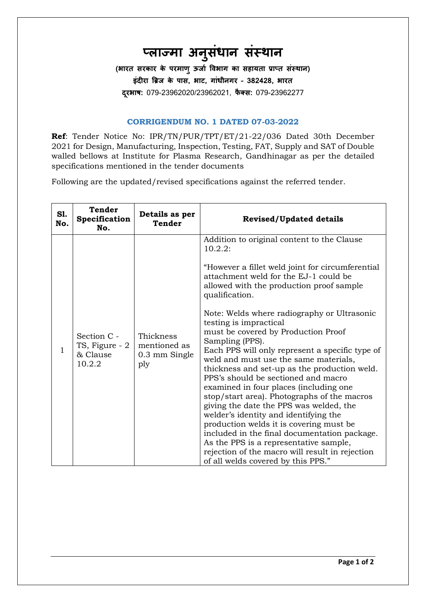## **प्लाज्मा ुसधं ानास धा ास**

**(भारत धरकार के परमाणंऊर्ाा विभाग का धहायताप्राप्तधा ास) इादीराब्रिर्के पाध, भाट, गाानीसगर– 382428, भारत दरूभाष:** 079-23962020/23962021, **फै क्ध:**079-23962277

## **CORRIGENDUM NO. 1 DATED 07-03-2022**

**Ref**: Tender Notice No: IPR/TN/PUR/TPT/ET/21-22/036 Dated 30th December 2021 for Design, Manufacturing, Inspection, Testing, FAT, Supply and SAT of Double walled bellows at Institute for Plasma Research, Gandhinagar as per the detailed specifications mentioned in the tender documents

Following are the updated/revised specifications against the referred tender.

| S1.<br>No. | <b>Tender</b><br>Specification<br>No.               | Details as per<br><b>Tender</b>                   | <b>Revised/Updated details</b>                                                                                                                                                                                                                                                                                                                                                                                                                                                                                                                                                                                                                                                                                                                                                                                                                                                                                                                    |
|------------|-----------------------------------------------------|---------------------------------------------------|---------------------------------------------------------------------------------------------------------------------------------------------------------------------------------------------------------------------------------------------------------------------------------------------------------------------------------------------------------------------------------------------------------------------------------------------------------------------------------------------------------------------------------------------------------------------------------------------------------------------------------------------------------------------------------------------------------------------------------------------------------------------------------------------------------------------------------------------------------------------------------------------------------------------------------------------------|
| 1          | Section C -<br>TS, Figure - 2<br>& Clause<br>10.2.2 | Thickness<br>mentioned as<br>0.3 mm Single<br>ply | Addition to original content to the Clause<br>10.2.2:<br>"However a fillet weld joint for circumferential<br>attachment weld for the EJ-1 could be<br>allowed with the production proof sample<br>qualification.<br>Note: Welds where radiography or Ultrasonic<br>testing is impractical<br>must be covered by Production Proof<br>Sampling (PPS).<br>Each PPS will only represent a specific type of<br>weld and must use the same materials,<br>thickness and set-up as the production weld.<br>PPS's should be sectioned and macro<br>examined in four places (including one<br>stop/start area). Photographs of the macros<br>giving the date the PPS was welded, the<br>welder's identity and identifying the<br>production welds it is covering must be<br>included in the final documentation package.<br>As the PPS is a representative sample,<br>rejection of the macro will result in rejection<br>of all welds covered by this PPS." |